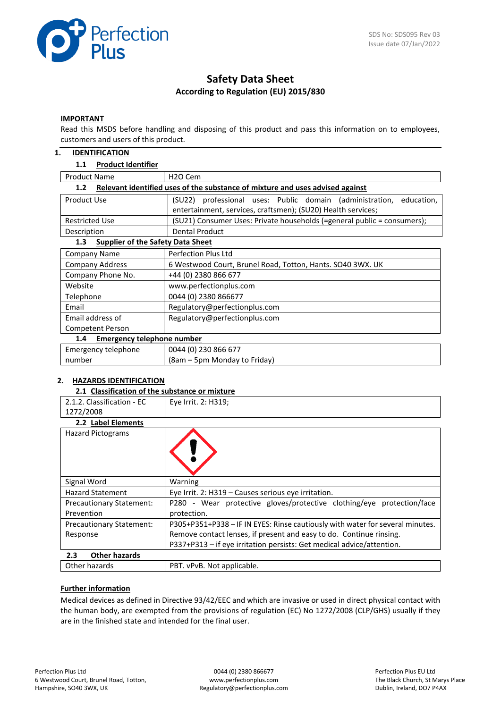

# **Safety Data Sheet According to Regulation (EU) 2015/830**

#### **IMPORTANT**

Read this MSDS before handling and disposing of this product and pass this information on to employees, customers and users of this product.

#### **1. IDENTIFICATION**

#### **1.1 Product Identifier**

| <b>Product Name</b>                                                                  | H <sub>2</sub> O Cem                                                    |  |  |  |
|--------------------------------------------------------------------------------------|-------------------------------------------------------------------------|--|--|--|
| Relevant identified uses of the substance of mixture and uses advised against<br>1.2 |                                                                         |  |  |  |
| Product Use                                                                          | (SU22) professional uses: Public domain (administration,<br>education,  |  |  |  |
|                                                                                      | entertainment, services, craftsmen); (SU20) Health services;            |  |  |  |
| <b>Restricted Use</b>                                                                | (SU21) Consumer Uses: Private households (=general public = consumers); |  |  |  |
| Description                                                                          | <b>Dental Product</b>                                                   |  |  |  |
| <b>Supplier of the Safety Data Sheet</b><br>1.3                                      |                                                                         |  |  |  |
| Company Name                                                                         | Perfection Plus Ltd                                                     |  |  |  |
| <b>Company Address</b>                                                               | 6 Westwood Court, Brunel Road, Totton, Hants. SO40 3WX. UK              |  |  |  |
| Company Phone No.                                                                    | +44 (0) 2380 866 677                                                    |  |  |  |
| Website                                                                              | www.perfectionplus.com                                                  |  |  |  |
| Telephone                                                                            | 0044 (0) 2380 866677                                                    |  |  |  |
| Email                                                                                | Regulatory@perfectionplus.com                                           |  |  |  |
| Email address of                                                                     | Regulatory@perfectionplus.com                                           |  |  |  |
| Competent Person                                                                     |                                                                         |  |  |  |
| 1.4                                                                                  | <b>Emergency telephone number</b>                                       |  |  |  |
| Emergency telephone                                                                  | 0044 (0) 230 866 677                                                    |  |  |  |
| number                                                                               | (8am – 5pm Monday to Friday)                                            |  |  |  |

# **2. HAZARDS IDENTIFICATION**

#### **2.1 Classification of the substance or mixture**

| 2.1.2. Classification - EC               | Eye Irrit. 2: H319;                                                           |  |
|------------------------------------------|-------------------------------------------------------------------------------|--|
| 1272/2008                                |                                                                               |  |
| 2.2 Label Elements                       |                                                                               |  |
| <b>Hazard Pictograms</b>                 |                                                                               |  |
| Signal Word                              | Warning                                                                       |  |
| <b>Hazard Statement</b>                  | Eye Irrit. 2: H319 - Causes serious eye irritation.                           |  |
| <b>Precautionary Statement:</b>          | P280 - Wear protective gloves/protective clothing/eye protection/face         |  |
| Prevention                               | protection.                                                                   |  |
| <b>Precautionary Statement:</b>          | P305+P351+P338 - IF IN EYES: Rinse cautiously with water for several minutes. |  |
| Response                                 | Remove contact lenses, if present and easy to do. Continue rinsing.           |  |
|                                          | P337+P313 - if eye irritation persists: Get medical advice/attention.         |  |
| $2.3\phantom{0}$<br><b>Other hazards</b> |                                                                               |  |
| Other hazards                            | PBT. vPvB. Not applicable.                                                    |  |

#### **Further information**

Medical devices as defined in Directive 93/42/EEC and which are invasive or used in direct physical contact with the human body, are exempted from the provisions of regulation (EC) No 1272/2008 (CLP/GHS) usually if they are in the finished state and intended for the final user.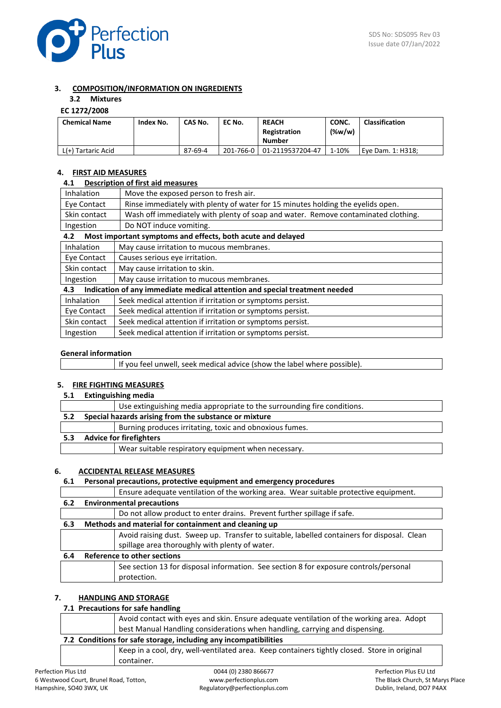

# **3. COMPOSITION/INFORMATION ON INGREDIENTS**

# **3.2 Mixtures**

# **EC 1272/2008**

| <b>Chemical Name</b> | Index No. | CAS No. | EC No.    | <b>REACH</b><br>Registration<br><b>Number</b> | CONC.<br>$(\%w/w)$ | <b>Classification</b> |
|----------------------|-----------|---------|-----------|-----------------------------------------------|--------------------|-----------------------|
| L(+) Tartaric Acid   |           | 87-69-4 | 201-766-0 | 01-2119537204-47                              | 1-10%              | Eve Dam. 1: H318:     |

# **4. FIRST AID MEASURES**

# **4.1 Description of first aid measures**

| Move the exposed person to fresh air.<br>Inhalation                                               |                                                                                                                                                                                                                                  |  |  |
|---------------------------------------------------------------------------------------------------|----------------------------------------------------------------------------------------------------------------------------------------------------------------------------------------------------------------------------------|--|--|
| Rinse immediately with plenty of water for 15 minutes holding the eyelids open.<br>Eve Contact    |                                                                                                                                                                                                                                  |  |  |
| Wash off immediately with plenty of soap and water. Remove contaminated clothing.<br>Skin contact |                                                                                                                                                                                                                                  |  |  |
| Do NOT induce vomiting.<br>Ingestion                                                              |                                                                                                                                                                                                                                  |  |  |
| Most important symptoms and effects, both acute and delayed<br>4.2                                |                                                                                                                                                                                                                                  |  |  |
|                                                                                                   | $\frac{1}{2}$ . The set of the set of the set of the set of the set of the set of the set of the set of the set of the set of the set of the set of the set of the set of the set of the set of the set of the set of the set of |  |  |

| Inhalation<br>May cause irritation to mucous membranes.                           |                                                           |  |
|-----------------------------------------------------------------------------------|-----------------------------------------------------------|--|
| Eye Contact<br>Causes serious eye irritation.                                     |                                                           |  |
| Skin contact<br>May cause irritation to skin.                                     |                                                           |  |
| May cause irritation to mucous membranes.<br>Ingestion                            |                                                           |  |
| Indication of any immediate medical attention and special treatment needed<br>4.3 |                                                           |  |
|                                                                                   |                                                           |  |
| Inhalation                                                                        | Seek medical attention if irritation or symptoms persist. |  |
| Eye Contact                                                                       | Seek medical attention if irritation or symptoms persist. |  |

| Ingestion | Seek medical attention if irritation or symptoms persist. |
|-----------|-----------------------------------------------------------|

### **General information**

|  | If you feel unwell, seek medical advice (show the label where possible). |
|--|--------------------------------------------------------------------------|
|--|--------------------------------------------------------------------------|

# **5. FIRE FIGHTING MEASURES**

**5.1 Extinguishing media**

|     | Use extinguishing media appropriate to the surrounding fire conditions. |
|-----|-------------------------------------------------------------------------|
| 5.2 | Special hazards arising from the substance or mixture                   |
|     | Burning produces irritating, toxic and obnoxious fumes.                 |
| 5.3 | <b>Advice for firefighters</b>                                          |
|     | Wear suitable respiratory equipment when necessary.                     |

#### **6. ACCIDENTAL RELEASE MEASURES**

# **6.1 Personal precautions, protective equipment and emergency procedures**

|     | Ensure adequate ventilation of the working area. Wear suitable protective equipment.        |  |  |
|-----|---------------------------------------------------------------------------------------------|--|--|
| 6.2 | <b>Environmental precautions</b>                                                            |  |  |
|     | Do not allow product to enter drains. Prevent further spillage if safe.                     |  |  |
| 6.3 | Methods and material for containment and cleaning up                                        |  |  |
|     | Avoid raising dust. Sweep up. Transfer to suitable, labelled containers for disposal. Clean |  |  |
|     | spillage area thoroughly with plenty of water.                                              |  |  |
| 6.4 | Reference to other sections                                                                 |  |  |
|     | See section 13 for disposal information. See section 8 for exposure controls/personal       |  |  |
|     | protection.                                                                                 |  |  |

# **7. HANDLING AND STORAGE**

### **7.1 Precautions for safe handling**

container.

|                                                                  | Avoid contact with eyes and skin. Ensure adequate ventilation of the working area. Adopt     |  |  |
|------------------------------------------------------------------|----------------------------------------------------------------------------------------------|--|--|
|                                                                  | best Manual Handling considerations when handling, carrying and dispensing.                  |  |  |
| 7.2 Conditions for safe storage, including any incompatibilities |                                                                                              |  |  |
|                                                                  | Keep in a cool, dry, well-ventilated area. Keep containers tightly closed. Store in original |  |  |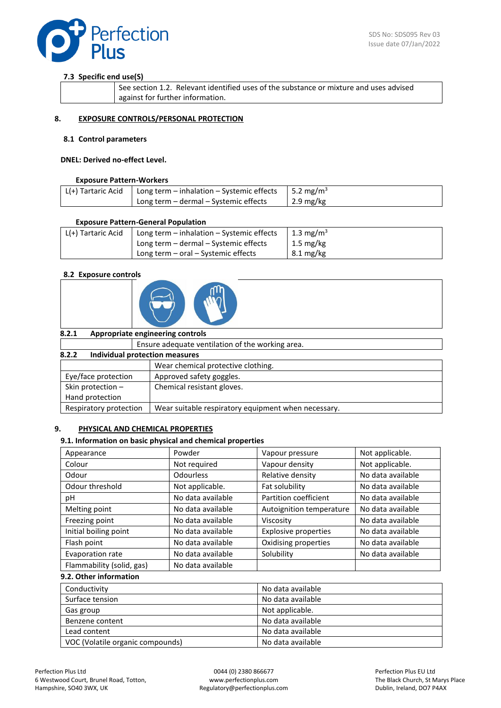

# **7.3 Specific end use(S)**

| See section 1.2. Relevant identified uses of the substance or mixture and uses advised |
|----------------------------------------------------------------------------------------|
| against for further information.                                                       |

### **8. EXPOSURE CONTROLS/PERSONAL PROTECTION**

#### **8.1 Control parameters**

#### **DNEL: Derived no-effect Level.**

#### **Exposure Pattern-Workers**

| L(+) Tartaric Acid   Long term – inhalation – Systemic effects   5.2 mg/m <sup>3</sup> |                       |
|----------------------------------------------------------------------------------------|-----------------------|
| Long term - dermal - Systemic effects                                                  | $\frac{1}{2.9}$ mg/kg |

#### **Exposure Pattern-General Population**

| L(+) Tartaric Acid | Long term $-$ inhalation $-$ Systemic effects | 1.3 mg/m <sup>3</sup> |
|--------------------|-----------------------------------------------|-----------------------|
|                    | Long term – dermal – Systemic effects         | $1.5 \text{ mg/kg}$   |
|                    | Long term $-$ oral $-$ Systemic effects       | $8.1 \text{ mg/kg}$   |

#### **8.2 Exposure controls**



| 8.2.1                                   | Appropriate engineering controls                    |  |
|-----------------------------------------|-----------------------------------------------------|--|
|                                         | Ensure adequate ventilation of the working area.    |  |
| Individual protection measures<br>8.2.2 |                                                     |  |
|                                         | Wear chemical protective clothing.                  |  |
| Eye/face protection                     | Approved safety goggles.                            |  |
| Skin protection $-$                     | Chemical resistant gloves.                          |  |
| Hand protection                         |                                                     |  |
| Respiratory protection                  | Wear suitable respiratory equipment when necessary. |  |

#### **9. PHYSICAL AND CHEMICAL PROPERTIES**

#### **9.1. Information on basic physical and chemical properties**

| Appearance                | Powder            | Vapour pressure             | Not applicable.   |
|---------------------------|-------------------|-----------------------------|-------------------|
| Colour                    | Not required      | Vapour density              | Not applicable.   |
| Odour                     | Odourless         | Relative density            | No data available |
| Odour threshold           | Not applicable.   | Fat solubility              | No data available |
| рH                        | No data available | Partition coefficient       | No data available |
| Melting point             | No data available | Autoignition temperature    | No data available |
| Freezing point            | No data available | Viscosity                   | No data available |
| Initial boiling point     | No data available | <b>Explosive properties</b> | No data available |
| Flash point               | No data available | Oxidising properties        | No data available |
| Evaporation rate          | No data available | Solubility                  | No data available |
| Flammability (solid, gas) | No data available |                             |                   |

# **9.2. Other information**

| Conductivity                     | No data available |
|----------------------------------|-------------------|
| Surface tension                  | No data available |
| Gas group                        | Not applicable.   |
| Benzene content                  | No data available |
| Lead content                     | No data available |
| VOC (Volatile organic compounds) | No data available |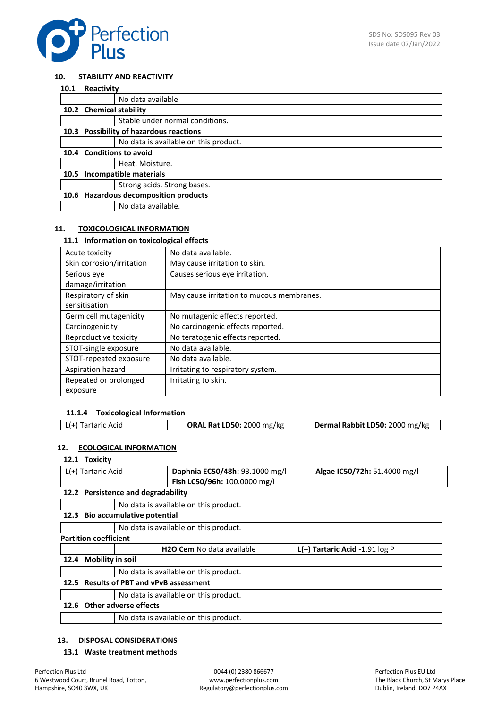

#### **10. STABILITY AND REACTIVITY**

| 10.1 | Reactivity              |                                           |
|------|-------------------------|-------------------------------------------|
|      |                         | No data available                         |
|      | 10.2 Chemical stability |                                           |
|      |                         | Stable under normal conditions.           |
| 10.3 |                         | <b>Possibility of hazardous reactions</b> |
|      |                         | No data is available on this product.     |
|      |                         | 10.4 Conditions to avoid                  |
|      |                         | Heat. Moisture.                           |
| 10.5 |                         | Incompatible materials                    |
|      |                         | Strong acids. Strong bases.               |
| 10.6 |                         | <b>Hazardous decomposition products</b>   |
|      |                         | No data available.                        |

#### **11. TOXICOLOGICAL INFORMATION**

#### **11.1 Information on toxicological effects**

| Acute toxicity            | No data available.                        |
|---------------------------|-------------------------------------------|
| Skin corrosion/irritation | May cause irritation to skin.             |
| Serious eve               | Causes serious eve irritation.            |
| damage/irritation         |                                           |
| Respiratory of skin       | May cause irritation to mucous membranes. |
| sensitisation             |                                           |
| Germ cell mutagenicity    | No mutagenic effects reported.            |
| Carcinogenicity           | No carcinogenic effects reported.         |
| Reproductive toxicity     | No teratogenic effects reported.          |
| STOT-single exposure      | No data available.                        |
| STOT-repeated exposure    | No data available.                        |
| Aspiration hazard         | Irritating to respiratory system.         |
| Repeated or prolonged     | Irritating to skin.                       |
| exposure                  |                                           |

#### **11.1.4 Toxicological Information**

| L(+) Tartaric Acid | <b>ORAL Rat LD50: 2000 mg/kg</b> | Dermal Rabbit LD50: 2000 mg/kg |
|--------------------|----------------------------------|--------------------------------|

### **12. ECOLOGICAL INFORMATION**

# **12.1 Toxicity**

|                    | .                            |                                         |                                       |                                    |
|--------------------|------------------------------|-----------------------------------------|---------------------------------------|------------------------------------|
| L(+) Tartaric Acid |                              | Daphnia EC50/48h: 93.1000 mg/l          | Algae IC50/72h: 51.4000 mg/l          |                                    |
|                    |                              |                                         | Fish LC50/96h: 100.0000 mg/l          |                                    |
|                    |                              | 12.2 Persistence and degradability      |                                       |                                    |
|                    |                              |                                         | No data is available on this product. |                                    |
|                    |                              | 12.3 Bio accumulative potential         |                                       |                                    |
|                    |                              |                                         | No data is available on this product. |                                    |
|                    | <b>Partition coefficient</b> |                                         |                                       |                                    |
|                    |                              |                                         | <b>H2O Cem No data available</b>      | $L(+)$ Tartaric Acid -1.91 $log P$ |
| 12.4               | <b>Mobility in soil</b>      |                                         |                                       |                                    |
|                    |                              |                                         | No data is available on this product. |                                    |
|                    |                              | 12.5 Results of PBT and vPvB assessment |                                       |                                    |
|                    |                              |                                         | No data is available on this product. |                                    |
|                    |                              | 12.6 Other adverse effects              |                                       |                                    |
|                    |                              |                                         | No data is available on this product. |                                    |
|                    |                              |                                         |                                       |                                    |

# **13. DISPOSAL CONSIDERATIONS**

#### **13.1 Waste treatment methods**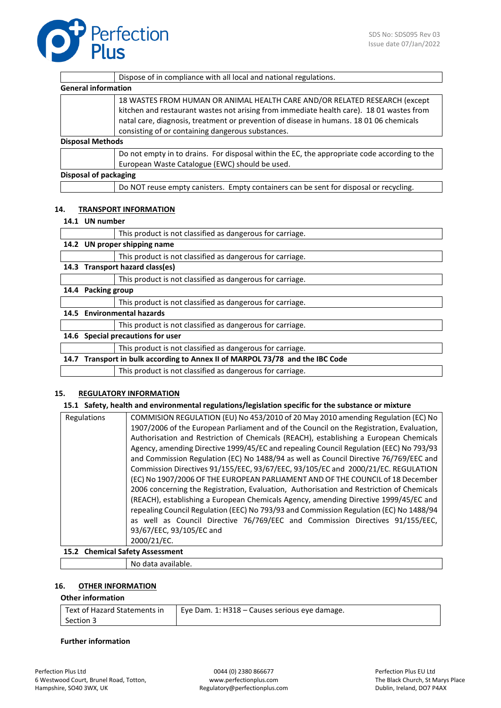

|                         | Dispose of in compliance with all local and national regulations.                                                                                                                                                                                                                                                      |
|-------------------------|------------------------------------------------------------------------------------------------------------------------------------------------------------------------------------------------------------------------------------------------------------------------------------------------------------------------|
|                         | <b>General information</b>                                                                                                                                                                                                                                                                                             |
|                         | 18 WASTES FROM HUMAN OR ANIMAL HEALTH CARE AND/OR RELATED RESEARCH (except<br>kitchen and restaurant wastes not arising from immediate health care). 18 01 wastes from<br>natal care, diagnosis, treatment or prevention of disease in humans. 18 01 06 chemicals<br>consisting of or containing dangerous substances. |
| <b>Disposal Methods</b> |                                                                                                                                                                                                                                                                                                                        |
|                         | Do not empty in to drains. For disposal within the EC, the appropriate code according to the<br>European Waste Catalogue (EWC) should be used.                                                                                                                                                                         |
|                         | Disposal of packaging                                                                                                                                                                                                                                                                                                  |
|                         | Do NOT reuse empty canisters. Empty containers can be sent for disposal or recycling.                                                                                                                                                                                                                                  |
|                         |                                                                                                                                                                                                                                                                                                                        |
|                         |                                                                                                                                                                                                                                                                                                                        |

### **14. TRANSPORT INFORMATION**

#### **14.1 UN number**

|      |                      | This product is not classified as dangerous for carriage.                     |
|------|----------------------|-------------------------------------------------------------------------------|
|      |                      | 14.2 UN proper shipping name                                                  |
|      |                      | This product is not classified as dangerous for carriage.                     |
|      |                      | 14.3 Transport hazard class(es)                                               |
|      |                      | This product is not classified as dangerous for carriage.                     |
| 14.4 | <b>Packing group</b> |                                                                               |
|      |                      | This product is not classified as dangerous for carriage.                     |
|      |                      | 14.5 Environmental hazards                                                    |
|      |                      | This product is not classified as dangerous for carriage.                     |
|      |                      | 14.6 Special precautions for user                                             |
|      |                      | This product is not classified as dangerous for carriage.                     |
|      |                      | 14.7 Transport in bulk according to Annex II of MARPOL 73/78 and the IBC Code |
|      |                      | This product is not classified as dangerous for carriage.                     |

#### **15. REGULATORY INFORMATION**

#### **15.1 Safety, health and environmental regulations/legislation specific for the substance or mixture**

| Regulations | COMMISION REGULATION (EU) No 453/2010 of 20 May 2010 amending Regulation (EC) No         |
|-------------|------------------------------------------------------------------------------------------|
|             | 1907/2006 of the European Parliament and of the Council on the Registration, Evaluation, |
|             | Authorisation and Restriction of Chemicals (REACH), establishing a European Chemicals    |
|             | Agency, amending Directive 1999/45/EC and repealing Council Regulation (EEC) No 793/93   |
|             | and Commission Regulation (EC) No 1488/94 as well as Council Directive 76/769/EEC and    |
|             | Commission Directives 91/155/EEC, 93/67/EEC, 93/105/EC and 2000/21/EC. REGULATION        |
|             | (EC) No 1907/2006 OF THE EUROPEAN PARLIAMENT AND OF THE COUNCIL of 18 December           |
|             | 2006 concerning the Registration, Evaluation, Authorisation and Restriction of Chemicals |
|             | (REACH), establishing a European Chemicals Agency, amending Directive 1999/45/EC and     |
|             | repealing Council Regulation (EEC) No 793/93 and Commission Regulation (EC) No 1488/94   |
|             | as well as Council Directive 76/769/EEC and Commission Directives 91/155/EEC,            |
|             | 93/67/EEC, 93/105/EC and                                                                 |
|             | 2000/21/EC.                                                                              |
|             |                                                                                          |

#### **15.2 Chemical Safety Assessment**

No data available.

# **16. OTHER INFORMATION**

#### **Other information**

| Text of Hazard Statements in | Eye Dam. 1: H318 - Causes serious eye damage. |
|------------------------------|-----------------------------------------------|
| Section 3                    |                                               |

#### **Further information**